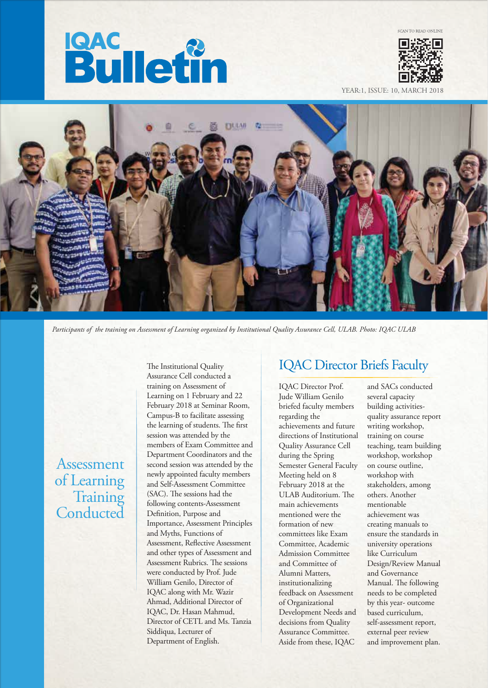



YEAR:1, ISSUE: 10, MARCH



*Participants of the training on Assessment of Learning organized by Institutional Quality Assurance Cell, ULAB. Photo: IQAC ULAB*

Assessment of Learning **Training Conducted**  The Institutional Quality Assurance Cell conducted a training on Assessment of Learning on 1 February and 22 February 2018 at Seminar Room, Campus-B to facilitate assessing the learning of students. The first session was attended by the members of Exam Committee and Department Coordinators and the second session was attended by the newly appointed faculty members and Self-Assessment Committee (SAC). The sessions had the following contents-Assessment Definition, Purpose and Importance, Assessment Principles and Myths, Functions of Assessment, Reflective Assessment and other types of Assessment and Assessment Rubrics. The sessions were conducted by Prof. Jude William Genilo, Director of IQAC along with Mr. Wazir Ahmad, Additional Director of IQAC, Dr. Hasan Mahmud, Director of CETL and Ms. Tanzia Siddiqua, Lecturer of Department of English.

# IQAC Director Briefs Faculty

IQAC Director Prof. Jude William Genilo briefed faculty members regarding the achievements and future directions of Institutional Quality Assurance Cell during the Spring Semester General Faculty Meeting held on 8 February 2018 at the ULAB Auditorium. The main achievements mentioned were the formation of new committees like Exam Committee, Academic Admission Committee and Committee of Alumni Matters, institutionalizing feedback on Assessment of Organizational Development Needs and decisions from Quality Assurance Committee. Aside from these, IQAC

and SACs conducted several capacity building activitiesquality assurance report writing workshop, training on course teaching, team building workshop, workshop on course outline, workshop with stakeholders, among others. Another mentionable achievement was creating manuals to ensure the standards in university operations like Curriculum Design/Review Manual and Governance Manual. The following needs to be completed by this year- outcome based curriculum, self-assessment report, external peer review and improvement plan.